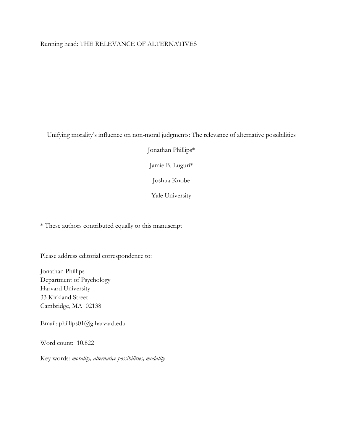# Running head: THE RELEVANCE OF ALTERNATIVES

Unifying morality's influence on non-moral judgments: The relevance of alternative possibilities

Jonathan Phillips\*

Jamie B. Luguri\*

Joshua Knobe

Yale University

\* These authors contributed equally to this manuscript

Please address editorial correspondence to:

Jonathan Phillips Department of Psychology Harvard University 33 Kirkland Street Cambridge, MA 02138

Email: phillips01@g.harvard.edu

Word count: 10,822

Key words: *morality, alternative possibilities, modality*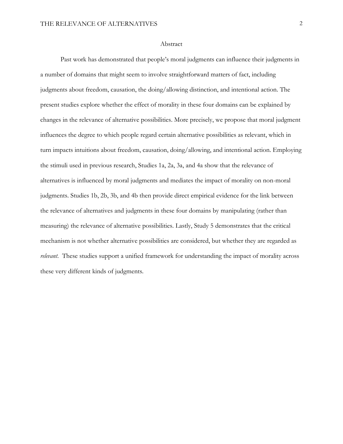#### Abstract

Past work has demonstrated that people's moral judgments can influence their judgments in a number of domains that might seem to involve straightforward matters of fact, including judgments about freedom, causation, the doing/allowing distinction, and intentional action. The present studies explore whether the effect of morality in these four domains can be explained by changes in the relevance of alternative possibilities. More precisely, we propose that moral judgment influences the degree to which people regard certain alternative possibilities as relevant, which in turn impacts intuitions about freedom, causation, doing/allowing, and intentional action. Employing the stimuli used in previous research, Studies 1a, 2a, 3a, and 4a show that the relevance of alternatives is influenced by moral judgments and mediates the impact of morality on non-moral judgments. Studies 1b, 2b, 3b, and 4b then provide direct empirical evidence for the link between the relevance of alternatives and judgments in these four domains by manipulating (rather than measuring) the relevance of alternative possibilities. Lastly, Study 5 demonstrates that the critical mechanism is not whether alternative possibilities are considered, but whether they are regarded as *relevant*. These studies support a unified framework for understanding the impact of morality across these very different kinds of judgments.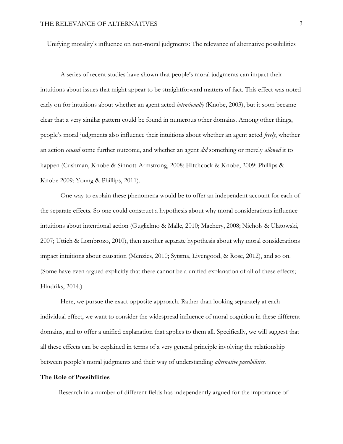Unifying morality's influence on non-moral judgments: The relevance of alternative possibilities

A series of recent studies have shown that people's moral judgments can impact their intuitions about issues that might appear to be straightforward matters of fact. This effect was noted early on for intuitions about whether an agent acted *intentionally* (Knobe, 2003), but it soon became clear that a very similar pattern could be found in numerous other domains. Among other things, people's moral judgments also influence their intuitions about whether an agent acted *freely*, whether an action *caused* some further outcome, and whether an agent *did* something or merely *allowed* it to happen (Cushman, Knobe & Sinnott-Armstrong, 2008; Hitchcock & Knobe, 2009; Phillips & Knobe 2009; Young & Phillips, 2011).

One way to explain these phenomena would be to offer an independent account for each of the separate effects. So one could construct a hypothesis about why moral considerations influence intuitions about intentional action (Guglielmo & Malle, 2010; Machery, 2008; Nichols & Ulatowski, 2007; Uttich & Lombrozo, 2010), then another separate hypothesis about why moral considerations impact intuitions about causation (Menzies, 2010; Sytsma, Livengood, & Rose, 2012), and so on. (Some have even argued explicitly that there cannot be a unified explanation of all of these effects; Hindriks, 2014.)

Here, we pursue the exact opposite approach. Rather than looking separately at each individual effect, we want to consider the widespread influence of moral cognition in these different domains, and to offer a unified explanation that applies to them all. Specifically, we will suggest that all these effects can be explained in terms of a very general principle involving the relationship between people's moral judgments and their way of understanding *alternative possibilities*.

#### **The Role of Possibilities**

Research in a number of different fields has independently argued for the importance of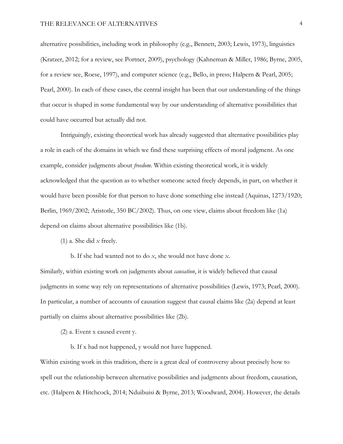alternative possibilities, including work in philosophy (e.g., Bennett, 2003; Lewis, 1973), linguistics (Kratzer, 2012; for a review, see Portner, 2009), psychology (Kahneman & Miller, 1986; Byrne, 2005, for a review see, Roese, 1997), and computer science (e.g., Bello, in press; Halpern & Pearl, 2005; Pearl, 2000). In each of these cases, the central insight has been that our understanding of the things that occur is shaped in some fundamental way by our understanding of alternative possibilities that could have occurred but actually did not.

 Intriguingly, existing theoretical work has already suggested that alternative possibilities play a role in each of the domains in which we find these surprising effects of moral judgment. As one example, consider judgments about *freedom*. Within existing theoretical work, it is widely acknowledged that the question as to whether someone acted freely depends, in part, on whether it would have been possible for that person to have done something else instead (Aquinas, 1273/1920; Berlin, 1969/2002; Aristotle, 350 BC/2002). Thus, on one view, claims about freedom like (1a) depend on claims about alternative possibilities like (1b).

(1) a. She did *x* freely.

 b. If she had wanted not to do *x*, she would not have done *x*. Similarly, within existing work on judgments about *causation*, it is widely believed that causal judgments in some way rely on representations of alternative possibilities (Lewis, 1973; Pearl, 2000). In particular, a number of accounts of causation suggest that causal claims like (2a) depend at least partially on claims about alternative possibilities like (2b).

(2) a. Event x caused event y.

b. If x had not happened, y would not have happened.

Within existing work in this tradition, there is a great deal of controversy about precisely how to spell out the relationship between alternative possibilities and judgments about freedom, causation, etc. (Halpern & Hitchcock, 2014; Nduibuisi & Byrne, 2013; Woodward, 2004). However, the details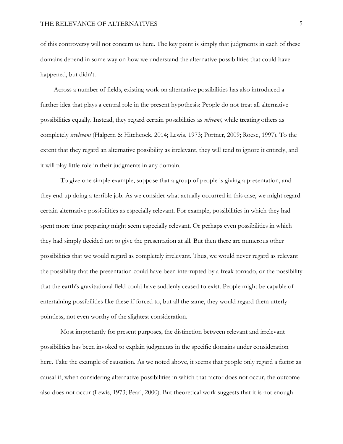of this controversy will not concern us here. The key point is simply that judgments in each of these domains depend in some way on how we understand the alternative possibilities that could have happened, but didn't.

 Across a number of fields, existing work on alternative possibilities has also introduced a further idea that plays a central role in the present hypothesis: People do not treat all alternative possibilities equally. Instead, they regard certain possibilities as *relevant*, while treating others as completely *irrelevant* (Halpern & Hitchcock, 2014; Lewis, 1973; Portner, 2009; Roese, 1997). To the extent that they regard an alternative possibility as irrelevant, they will tend to ignore it entirely, and it will play little role in their judgments in any domain.

To give one simple example, suppose that a group of people is giving a presentation, and they end up doing a terrible job. As we consider what actually occurred in this case, we might regard certain alternative possibilities as especially relevant. For example, possibilities in which they had spent more time preparing might seem especially relevant. Or perhaps even possibilities in which they had simply decided not to give the presentation at all. But then there are numerous other possibilities that we would regard as completely irrelevant. Thus, we would never regard as relevant the possibility that the presentation could have been interrupted by a freak tornado, or the possibility that the earth's gravitational field could have suddenly ceased to exist. People might be capable of entertaining possibilities like these if forced to, but all the same, they would regard them utterly pointless, not even worthy of the slightest consideration.

Most importantly for present purposes, the distinction between relevant and irrelevant possibilities has been invoked to explain judgments in the specific domains under consideration here. Take the example of causation. As we noted above, it seems that people only regard a factor as causal if, when considering alternative possibilities in which that factor does not occur, the outcome also does not occur (Lewis, 1973; Pearl, 2000). But theoretical work suggests that it is not enough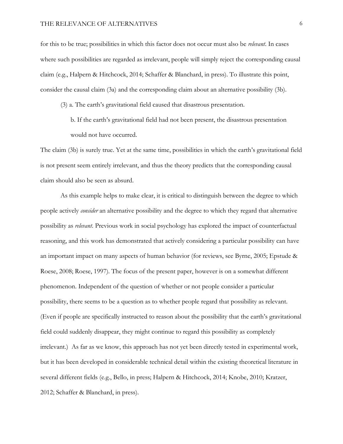for this to be true; possibilities in which this factor does not occur must also be *relevant*. In cases where such possibilities are regarded as irrelevant, people will simply reject the corresponding causal claim (e.g., Halpern & Hitchcock, 2014; Schaffer & Blanchard, in press). To illustrate this point, consider the causal claim (3a) and the corresponding claim about an alternative possibility (3b).

(3) a. The earth's gravitational field caused that disastrous presentation.

b. If the earth's gravitational field had not been present, the disastrous presentation would not have occurred.

The claim (3b) is surely true. Yet at the same time, possibilities in which the earth's gravitational field is not present seem entirely irrelevant, and thus the theory predicts that the corresponding causal claim should also be seen as absurd.

As this example helps to make clear, it is critical to distinguish between the degree to which people actively *consider* an alternative possibility and the degree to which they regard that alternative possibility as *relevant*. Previous work in social psychology has explored the impact of counterfactual reasoning, and this work has demonstrated that actively considering a particular possibility can have an important impact on many aspects of human behavior (for reviews, see Byrne, 2005; Epstude & Roese, 2008; Roese, 1997). The focus of the present paper, however is on a somewhat different phenomenon. Independent of the question of whether or not people consider a particular possibility, there seems to be a question as to whether people regard that possibility as relevant. (Even if people are specifically instructed to reason about the possibility that the earth's gravitational field could suddenly disappear, they might continue to regard this possibility as completely irrelevant.) As far as we know, this approach has not yet been directly tested in experimental work, but it has been developed in considerable technical detail within the existing theoretical literature in several different fields (e.g., Bello, in press; Halpern & Hitchcock, 2014; Knobe, 2010; Kratzer, 2012; Schaffer & Blanchard, in press).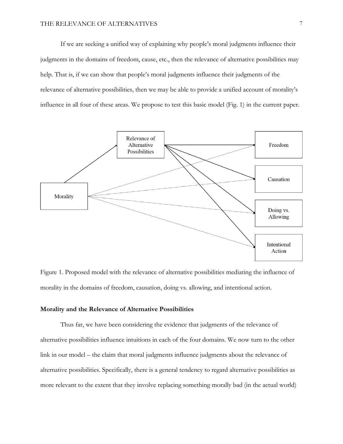If we are seeking a unified way of explaining why people's moral judgments influence their judgments in the domains of freedom, cause, etc., then the relevance of alternative possibilities may help. That is, if we can show that people's moral judgments influence their judgments of the relevance of alternative possibilities, then we may be able to provide a unified account of morality's influence in all four of these areas. We propose to test this basic model (Fig. 1) in the current paper.



Figure 1. Proposed model with the relevance of alternative possibilities mediating the influence of morality in the domains of freedom, causation, doing vs. allowing, and intentional action.

### **Morality and the Relevance of Alternative Possibilities**

Thus far, we have been considering the evidence that judgments of the relevance of alternative possibilities influence intuitions in each of the four domains. We now turn to the other link in our model – the claim that moral judgments influence judgments about the relevance of alternative possibilities. Specifically, there is a general tendency to regard alternative possibilities as more relevant to the extent that they involve replacing something morally bad (in the actual world)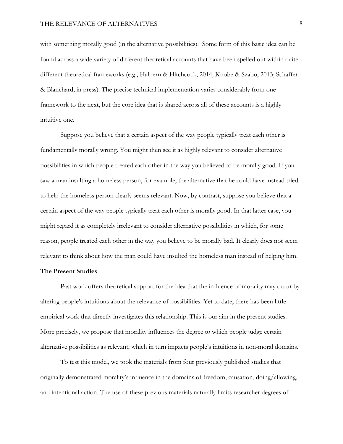with something morally good (in the alternative possibilities). Some form of this basic idea can be found across a wide variety of different theoretical accounts that have been spelled out within quite different theoretical frameworks (e.g., Halpern & Hitchcock, 2014; Knobe & Szabo, 2013; Schaffer & Blanchard, in press). The precise technical implementation varies considerably from one framework to the next, but the core idea that is shared across all of these accounts is a highly intuitive one.

Suppose you believe that a certain aspect of the way people typically treat each other is fundamentally morally wrong. You might then see it as highly relevant to consider alternative possibilities in which people treated each other in the way you believed to be morally good. If you saw a man insulting a homeless person, for example, the alternative that he could have instead tried to help the homeless person clearly seems relevant. Now, by contrast, suppose you believe that a certain aspect of the way people typically treat each other is morally good. In that latter case, you might regard it as completely irrelevant to consider alternative possibilities in which, for some reason, people treated each other in the way you believe to be morally bad. It clearly does not seem relevant to think about how the man could have insulted the homeless man instead of helping him.

# **The Present Studies**

Past work offers theoretical support for the idea that the influence of morality may occur by altering people's intuitions about the relevance of possibilities. Yet to date, there has been little empirical work that directly investigates this relationship. This is our aim in the present studies. More precisely, we propose that morality influences the degree to which people judge certain alternative possibilities as relevant, which in turn impacts people's intuitions in non-moral domains.

To test this model, we took the materials from four previously published studies that originally demonstrated morality's influence in the domains of freedom, causation, doing/allowing, and intentional action. The use of these previous materials naturally limits researcher degrees of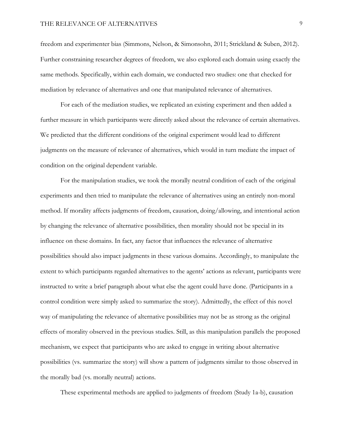freedom and experimenter bias (Simmons, Nelson, & Simonsohn, 2011; Strickland & Suben, 2012). Further constraining researcher degrees of freedom, we also explored each domain using exactly the same methods. Specifically, within each domain, we conducted two studies: one that checked for mediation by relevance of alternatives and one that manipulated relevance of alternatives.

For each of the mediation studies, we replicated an existing experiment and then added a further measure in which participants were directly asked about the relevance of certain alternatives. We predicted that the different conditions of the original experiment would lead to different judgments on the measure of relevance of alternatives, which would in turn mediate the impact of condition on the original dependent variable.

For the manipulation studies, we took the morally neutral condition of each of the original experiments and then tried to manipulate the relevance of alternatives using an entirely non-moral method. If morality affects judgments of freedom, causation, doing/allowing, and intentional action by changing the relevance of alternative possibilities, then morality should not be special in its influence on these domains. In fact, any factor that influences the relevance of alternative possibilities should also impact judgments in these various domains. Accordingly, to manipulate the extent to which participants regarded alternatives to the agents' actions as relevant, participants were instructed to write a brief paragraph about what else the agent could have done. (Participants in a control condition were simply asked to summarize the story). Admittedly, the effect of this novel way of manipulating the relevance of alternative possibilities may not be as strong as the original effects of morality observed in the previous studies. Still, as this manipulation parallels the proposed mechanism, we expect that participants who are asked to engage in writing about alternative possibilities (vs. summarize the story) will show a pattern of judgments similar to those observed in the morally bad (vs. morally neutral) actions.

These experimental methods are applied to judgments of freedom (Study 1a-b), causation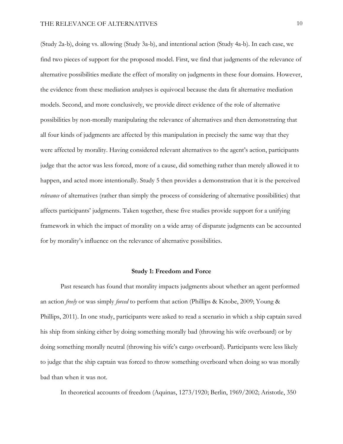(Study 2a-b), doing vs. allowing (Study 3a-b), and intentional action (Study 4a-b). In each case, we find two pieces of support for the proposed model. First, we find that judgments of the relevance of alternative possibilities mediate the effect of morality on judgments in these four domains. However, the evidence from these mediation analyses is equivocal because the data fit alternative mediation models. Second, and more conclusively, we provide direct evidence of the role of alternative possibilities by non-morally manipulating the relevance of alternatives and then demonstrating that all four kinds of judgments are affected by this manipulation in precisely the same way that they were affected by morality. Having considered relevant alternatives to the agent's action, participants judge that the actor was less forced, more of a cause, did something rather than merely allowed it to happen, and acted more intentionally. Study 5 then provides a demonstration that it is the perceived *relevance* of alternatives (rather than simply the process of considering of alternative possibilities) that affects participants' judgments. Taken together, these five studies provide support for a unifying framework in which the impact of morality on a wide array of disparate judgments can be accounted for by morality's influence on the relevance of alternative possibilities.

#### **Study 1: Freedom and Force**

Past research has found that morality impacts judgments about whether an agent performed an action *freely* or was simply *forced* to perform that action (Phillips & Knobe, 2009; Young & Phillips, 2011). In one study, participants were asked to read a scenario in which a ship captain saved his ship from sinking either by doing something morally bad (throwing his wife overboard) or by doing something morally neutral (throwing his wife's cargo overboard). Participants were less likely to judge that the ship captain was forced to throw something overboard when doing so was morally bad than when it was not.

In theoretical accounts of freedom (Aquinas, 1273/1920; Berlin, 1969/2002; Aristotle, 350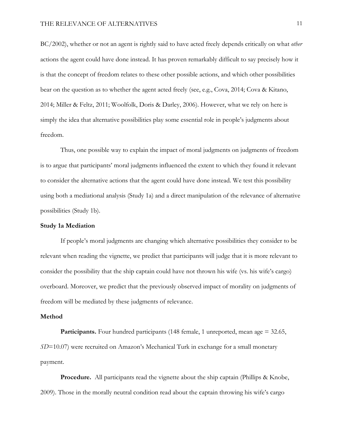BC/2002), whether or not an agent is rightly said to have acted freely depends critically on what *other*  actions the agent could have done instead. It has proven remarkably difficult to say precisely how it is that the concept of freedom relates to these other possible actions, and which other possibilities bear on the question as to whether the agent acted freely (see, e.g., Cova, 2014; Cova & Kitano, 2014; Miller & Feltz, 2011; Woolfolk, Doris & Darley, 2006). However, what we rely on here is simply the idea that alternative possibilities play some essential role in people's judgments about freedom.

Thus, one possible way to explain the impact of moral judgments on judgments of freedom is to argue that participants' moral judgments influenced the extent to which they found it relevant to consider the alternative actions that the agent could have done instead. We test this possibility using both a mediational analysis (Study 1a) and a direct manipulation of the relevance of alternative possibilities (Study 1b).

### **Study 1a Mediation**

If people's moral judgments are changing which alternative possibilities they consider to be relevant when reading the vignette, we predict that participants will judge that it is more relevant to consider the possibility that the ship captain could have not thrown his wife (vs. his wife's cargo) overboard. Moreover, we predict that the previously observed impact of morality on judgments of freedom will be mediated by these judgments of relevance.

### **Method**

**Participants.** Four hundred participants (148 female, 1 unreported, mean age = 32.65, *SD*=10.07) were recruited on Amazon's Mechanical Turk in exchange for a small monetary payment.

**Procedure.**All participants read the vignette about the ship captain (Phillips & Knobe, 2009). Those in the morally neutral condition read about the captain throwing his wife's cargo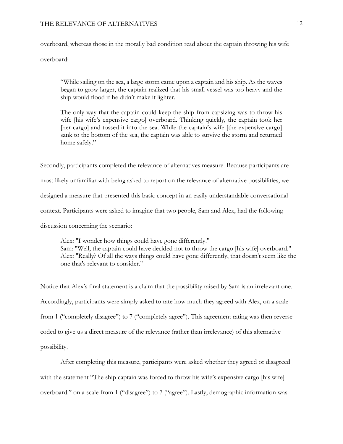overboard, whereas those in the morally bad condition read about the captain throwing his wife

overboard:

"While sailing on the sea, a large storm came upon a captain and his ship. As the waves began to grow larger, the captain realized that his small vessel was too heavy and the ship would flood if he didn't make it lighter.

The only way that the captain could keep the ship from capsizing was to throw his wife [his wife's expensive cargo] overboard. Thinking quickly, the captain took her [her cargo] and tossed it into the sea. While the captain's wife [the expensive cargo] sank to the bottom of the sea, the captain was able to survive the storm and returned home safely."

Secondly, participants completed the relevance of alternatives measure. Because participants are most likely unfamiliar with being asked to report on the relevance of alternative possibilities, we designed a measure that presented this basic concept in an easily understandable conversational context. Participants were asked to imagine that two people, Sam and Alex, had the following discussion concerning the scenario:

Alex: "I wonder how things could have gone differently." Sam: "Well, the captain could have decided not to throw the cargo [his wife] overboard." Alex: "Really? Of all the ways things could have gone differently, that doesn't seem like the one that's relevant to consider."

Notice that Alex's final statement is a claim that the possibility raised by Sam is an irrelevant one. Accordingly, participants were simply asked to rate how much they agreed with Alex, on a scale from 1 ("completely disagree") to 7 ("completely agree"). This agreement rating was then reverse coded to give us a direct measure of the relevance (rather than irrelevance) of this alternative possibility.

After completing this measure, participants were asked whether they agreed or disagreed with the statement "The ship captain was forced to throw his wife's expensive cargo [his wife] overboard." on a scale from 1 ("disagree") to 7 ("agree"). Lastly, demographic information was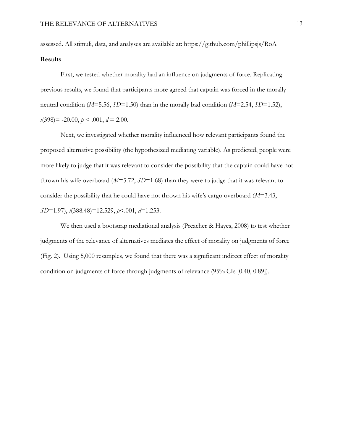assessed. All stimuli, data, and analyses are available at: https://github.com/phillipsjs/RoA

# **Results**

First, we tested whether morality had an influence on judgments of force. Replicating previous results, we found that participants more agreed that captain was forced in the morally neutral condition (*M*=5.56, *SD*=1.50) than in the morally bad condition (*M*=2.54, *SD*=1.52), *t*(398)= -20.00, *p* < .001, *d* = 2.00.

Next, we investigated whether morality influenced how relevant participants found the proposed alternative possibility (the hypothesized mediating variable). As predicted, people were more likely to judge that it was relevant to consider the possibility that the captain could have not thrown his wife overboard (*M*=5.72, *SD*=1.68) than they were to judge that it was relevant to consider the possibility that he could have not thrown his wife's cargo overboard (*M*=3.43, *SD*=1.97), *t*(388.48)=12.529, *p*<.001, *d*=1.253.

We then used a bootstrap mediational analysis (Preacher & Hayes, 2008) to test whether judgments of the relevance of alternatives mediates the effect of morality on judgments of force (Fig. 2). Using 5,000 resamples, we found that there was a significant indirect effect of morality condition on judgments of force through judgments of relevance (95% CIs [0.40, 0.89]).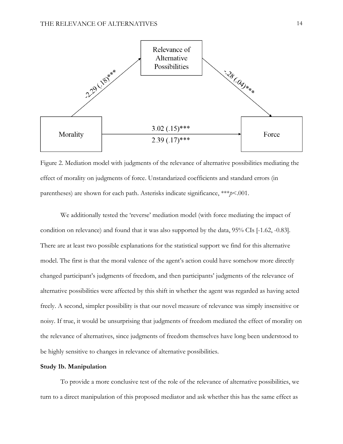

Figure 2. Mediation model with judgments of the relevance of alternative possibilities mediating the effect of morality on judgments of force. Unstandarized coefficients and standard errors (in parentheses) are shown for each path. Asterisks indicate significance, \*\*\**p*<.001.

We additionally tested the 'reverse' mediation model (with force mediating the impact of condition on relevance) and found that it was also supported by the data, 95% CIs [-1.62, -0.83]. There are at least two possible explanations for the statistical support we find for this alternative model. The first is that the moral valence of the agent's action could have somehow more directly changed participant's judgments of freedom, and then participants' judgments of the relevance of alternative possibilities were affected by this shift in whether the agent was regarded as having acted freely. A second, simpler possibility is that our novel measure of relevance was simply insensitive or noisy. If true, it would be unsurprising that judgments of freedom mediated the effect of morality on the relevance of alternatives, since judgments of freedom themselves have long been understood to be highly sensitive to changes in relevance of alternative possibilities.

# **Study 1b. Manipulation**

To provide a more conclusive test of the role of the relevance of alternative possibilities, we turn to a direct manipulation of this proposed mediator and ask whether this has the same effect as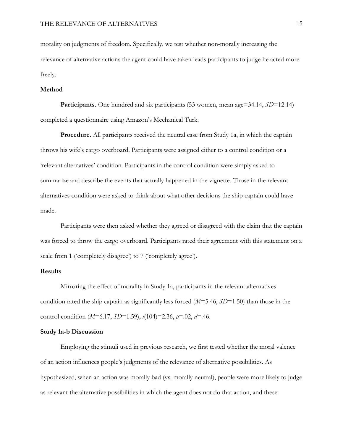morality on judgments of freedom. Specifically, we test whether non-morally increasing the relevance of alternative actions the agent could have taken leads participants to judge he acted more freely.

# **Method**

**Participants.** One hundred and six participants (53 women, mean age=34.14, *SD*=12.14) completed a questionnaire using Amazon's Mechanical Turk.

**Procedure.** All participants received the neutral case from Study 1a, in which the captain throws his wife's cargo overboard. Participants were assigned either to a control condition or a 'relevant alternatives' condition. Participants in the control condition were simply asked to summarize and describe the events that actually happened in the vignette. Those in the relevant alternatives condition were asked to think about what other decisions the ship captain could have made.

Participants were then asked whether they agreed or disagreed with the claim that the captain was forced to throw the cargo overboard. Participants rated their agreement with this statement on a scale from 1 ('completely disagree') to 7 ('completely agree').

# **Results**

Mirroring the effect of morality in Study 1a, participants in the relevant alternatives condition rated the ship captain as significantly less forced (*M*=5.46, *SD*=1.50) than those in the control condition (*M*=6.17, *SD*=1.59), *t*(104)=2.36, *p*=.02, *d*=.46.

## **Study 1a-b Discussion**

Employing the stimuli used in previous research, we first tested whether the moral valence of an action influences people's judgments of the relevance of alternative possibilities. As hypothesized, when an action was morally bad (vs. morally neutral), people were more likely to judge as relevant the alternative possibilities in which the agent does not do that action, and these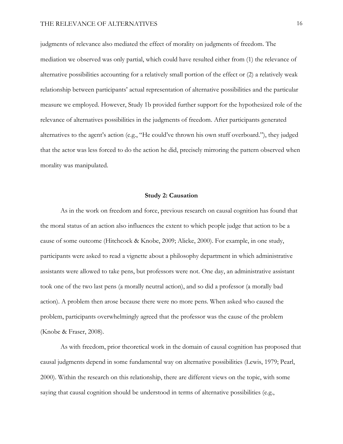judgments of relevance also mediated the effect of morality on judgments of freedom. The mediation we observed was only partial, which could have resulted either from (1) the relevance of alternative possibilities accounting for a relatively small portion of the effect or (2) a relatively weak relationship between participants' actual representation of alternative possibilities and the particular measure we employed. However, Study 1b provided further support for the hypothesized role of the relevance of alternatives possibilities in the judgments of freedom. After participants generated alternatives to the agent's action (e.g., "He could've thrown his own stuff overboard."), they judged that the actor was less forced to do the action he did, precisely mirroring the pattern observed when morality was manipulated.

### **Study 2: Causation**

As in the work on freedom and force, previous research on causal cognition has found that the moral status of an action also influences the extent to which people judge that action to be a cause of some outcome (Hitchcock & Knobe, 2009; Alicke, 2000). For example, in one study, participants were asked to read a vignette about a philosophy department in which administrative assistants were allowed to take pens, but professors were not. One day, an administrative assistant took one of the two last pens (a morally neutral action), and so did a professor (a morally bad action). A problem then arose because there were no more pens. When asked who caused the problem, participants overwhelmingly agreed that the professor was the cause of the problem (Knobe & Fraser, 2008).

As with freedom, prior theoretical work in the domain of causal cognition has proposed that causal judgments depend in some fundamental way on alternative possibilities (Lewis, 1979; Pearl, 2000). Within the research on this relationship, there are different views on the topic, with some saying that causal cognition should be understood in terms of alternative possibilities (e.g.,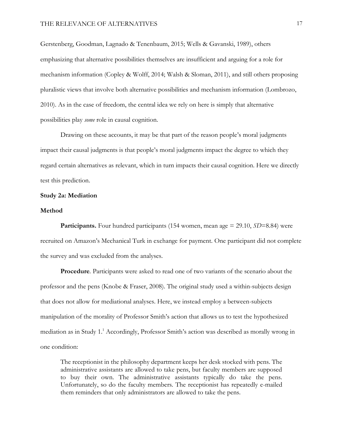Gerstenberg, Goodman, Lagnado & Tenenbaum, 2015; Wells & Gavanski, 1989), others emphasizing that alternative possibilities themselves are insufficient and arguing for a role for mechanism information (Copley & Wolff, 2014; Walsh & Sloman, 2011), and still others proposing pluralistic views that involve both alternative possibilities and mechanism information (Lombrozo, 2010). As in the case of freedom, the central idea we rely on here is simply that alternative possibilities play *some* role in causal cognition.

Drawing on these accounts, it may be that part of the reason people's moral judgments impact their causal judgments is that people's moral judgments impact the degree to which they regard certain alternatives as relevant, which in turn impacts their causal cognition. Here we directly test this prediction.

## **Study 2a: Mediation**

### **Method**

**Participants.** Four hundred participants (154 women, mean age = 29.10, *SD*=8.84) were recruited on Amazon's Mechanical Turk in exchange for payment. One participant did not complete the survey and was excluded from the analyses.

**Procedure***.* Participants were asked to read one of two variants of the scenario about the professor and the pens (Knobe & Fraser, 2008). The original study used a within-subjects design that does not allow for mediational analyses. Here, we instead employ a between-subjects manipulation of the morality of Professor Smith's action that allows us to test the hypothesized mediation as in Study 1. <sup>1</sup> Accordingly, Professor Smith's action was described as morally wrong in one condition:

The receptionist in the philosophy department keeps her desk stocked with pens. The administrative assistants are allowed to take pens, but faculty members are supposed to buy their own. The administrative assistants typically do take the pens. Unfortunately, so do the faculty members. The receptionist has repeatedly e-mailed them reminders that only administrators are allowed to take the pens.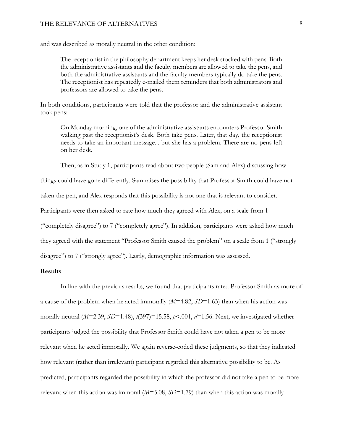## THE RELEVANCE OF ALTERNATIVES 18

and was described as morally neutral in the other condition:

The receptionist in the philosophy department keeps her desk stocked with pens. Both the administrative assistants and the faculty members are allowed to take the pens, and both the administrative assistants and the faculty members typically do take the pens. The receptionist has repeatedly e-mailed them reminders that both administrators and professors are allowed to take the pens.

In both conditions, participants were told that the professor and the administrative assistant took pens:

On Monday morning, one of the administrative assistants encounters Professor Smith walking past the receptionist's desk. Both take pens. Later, that day, the receptionist needs to take an important message... but she has a problem. There are no pens left on her desk.

Then, as in Study 1, participants read about two people (Sam and Alex) discussing how

things could have gone differently. Sam raises the possibility that Professor Smith could have not

taken the pen, and Alex responds that this possibility is not one that is relevant to consider.

Participants were then asked to rate how much they agreed with Alex, on a scale from 1

("completely disagree") to 7 ("completely agree"). In addition, participants were asked how much

they agreed with the statement "Professor Smith caused the problem" on a scale from 1 ("strongly

disagree") to 7 ("strongly agree"). Lastly, demographic information was assessed.

# **Results**

In line with the previous results, we found that participants rated Professor Smith as more of a cause of the problem when he acted immorally (*M*=4.82, *SD*=1.63) than when his action was morally neutral (*M*=2.39, *SD*=1.48), *t*(397)=15.58, *p*<.001, *d*=1.56. Next, we investigated whether participants judged the possibility that Professor Smith could have not taken a pen to be more relevant when he acted immorally. We again reverse-coded these judgments, so that they indicated how relevant (rather than irrelevant) participant regarded this alternative possibility to be. As predicted, participants regarded the possibility in which the professor did not take a pen to be more relevant when this action was immoral (*M*=5.08, *SD*=1.79) than when this action was morally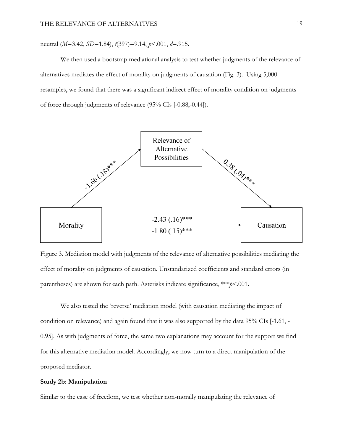neutral (*M*=3.42, *SD*=1.84), *t*(397)=9.14, *p*<.001, *d*=.915.

We then used a bootstrap mediational analysis to test whether judgments of the relevance of alternatives mediates the effect of morality on judgments of causation (Fig. 3). Using 5,000 resamples, we found that there was a significant indirect effect of morality condition on judgments of force through judgments of relevance (95% CIs [-0.88,-0.44]).



Figure 3. Mediation model with judgments of the relevance of alternative possibilities mediating the effect of morality on judgments of causation. Unstandarized coefficients and standard errors (in parentheses) are shown for each path. Asterisks indicate significance, \*\*\**p*<.001.

We also tested the 'reverse' mediation model (with causation mediating the impact of condition on relevance) and again found that it was also supported by the data 95% CIs [-1.61, - 0.95]. As with judgments of force, the same two explanations may account for the support we find for this alternative mediation model. Accordingly, we now turn to a direct manipulation of the proposed mediator.

#### **Study 2b: Manipulation**

Similar to the case of freedom, we test whether non-morally manipulating the relevance of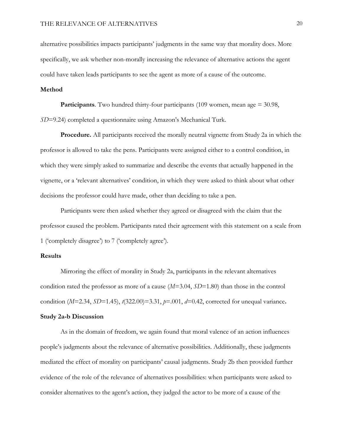alternative possibilities impacts participants' judgments in the same way that morality does. More specifically, we ask whether non-morally increasing the relevance of alternative actions the agent could have taken leads participants to see the agent as more of a cause of the outcome.

## **Method**

**Participants***.* Two hundred thirty-four participants (109 women, mean age = 30.98, *SD*=9.24) completed a questionnaire using Amazon's Mechanical Turk.

**Procedure.** All participants received the morally neutral vignette from Study 2a in which the professor is allowed to take the pens. Participants were assigned either to a control condition, in which they were simply asked to summarize and describe the events that actually happened in the vignette, or a 'relevant alternatives' condition, in which they were asked to think about what other decisions the professor could have made, other than deciding to take a pen.

Participants were then asked whether they agreed or disagreed with the claim that the professor caused the problem. Participants rated their agreement with this statement on a scale from 1 ('completely disagree') to 7 ('completely agree').

# **Results**

Mirroring the effect of morality in Study 2a, participants in the relevant alternatives condition rated the professor as more of a cause (*M*=3.04, *SD*=1.80) than those in the control condition ( $M=2.34$ ,  $SD=1.45$ ),  $t(322.00)=3.31$ ,  $p=.001$ ,  $d=0.42$ , corrected for unequal variance.

### **Study 2a-b Discussion**

As in the domain of freedom, we again found that moral valence of an action influences people's judgments about the relevance of alternative possibilities. Additionally, these judgments mediated the effect of morality on participants' causal judgments. Study 2b then provided further evidence of the role of the relevance of alternatives possibilities: when participants were asked to consider alternatives to the agent's action, they judged the actor to be more of a cause of the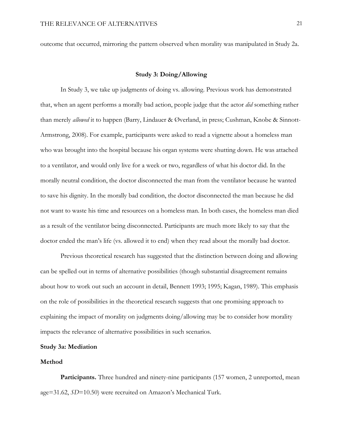outcome that occurred, mirroring the pattern observed when morality was manipulated in Study 2a.

# **Study 3: Doing/Allowing**

In Study 3, we take up judgments of doing vs. allowing. Previous work has demonstrated that, when an agent performs a morally bad action, people judge that the actor *did* something rather than merely *allowed* it to happen (Barry, Lindauer & Øverland, in press; Cushman, Knobe & Sinnott-Armstrong, 2008). For example, participants were asked to read a vignette about a homeless man who was brought into the hospital because his organ systems were shutting down. He was attached to a ventilator, and would only live for a week or two, regardless of what his doctor did. In the morally neutral condition, the doctor disconnected the man from the ventilator because he wanted to save his dignity. In the morally bad condition, the doctor disconnected the man because he did not want to waste his time and resources on a homeless man. In both cases, the homeless man died as a result of the ventilator being disconnected. Participants are much more likely to say that the doctor ended the man's life (vs. allowed it to end) when they read about the morally bad doctor.

Previous theoretical research has suggested that the distinction between doing and allowing can be spelled out in terms of alternative possibilities (though substantial disagreement remains about how to work out such an account in detail, Bennett 1993; 1995; Kagan, 1989). This emphasis on the role of possibilities in the theoretical research suggests that one promising approach to explaining the impact of morality on judgments doing/allowing may be to consider how morality impacts the relevance of alternative possibilities in such scenarios.

### **Study 3a: Mediation**

## **Method**

**Participants.** Three hundred and ninety-nine participants (157 women, 2 unreported, mean age=31.62, *SD*=10.50) were recruited on Amazon's Mechanical Turk.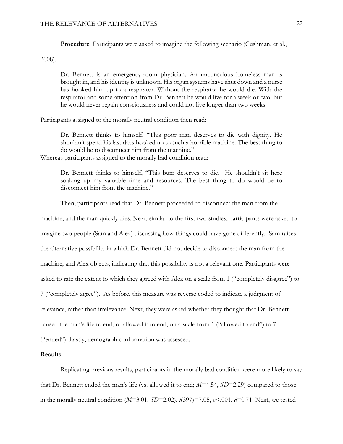**Procedure***.* Participants were asked to imagine the following scenario (Cushman, et al.,

2008):

Dr. Bennett is an emergency-room physician. An unconscious homeless man is brought in, and his identity is unknown. His organ systems have shut down and a nurse has hooked him up to a respirator. Without the respirator he would die. With the respirator and some attention from Dr. Bennett he would live for a week or two, but he would never regain consciousness and could not live longer than two weeks.

Participants assigned to the morally neutral condition then read:

Dr. Bennett thinks to himself, "This poor man deserves to die with dignity. He shouldn't spend his last days hooked up to such a horrible machine. The best thing to do would be to disconnect him from the machine."

Whereas participants assigned to the morally bad condition read:

Dr. Bennett thinks to himself, "This bum deserves to die. He shouldn't sit here soaking up my valuable time and resources. The best thing to do would be to disconnect him from the machine."

Then, participants read that Dr. Bennett proceeded to disconnect the man from the

machine, and the man quickly dies. Next, similar to the first two studies, participants were asked to imagine two people (Sam and Alex) discussing how things could have gone differently. Sam raises the alternative possibility in which Dr. Bennett did not decide to disconnect the man from the machine, and Alex objects, indicating that this possibility is not a relevant one. Participants were asked to rate the extent to which they agreed with Alex on a scale from 1 ("completely disagree") to 7 ("completely agree"). As before, this measure was reverse coded to indicate a judgment of relevance, rather than irrelevance. Next, they were asked whether they thought that Dr. Bennett caused the man's life to end, or allowed it to end, on a scale from 1 ("allowed to end") to 7 ("ended"). Lastly, demographic information was assessed.

## **Results**

Replicating previous results, participants in the morally bad condition were more likely to say that Dr. Bennett ended the man's life (vs. allowed it to end; *M*=4.54, *SD*=2.29) compared to those in the morally neutral condition ( $M=3.01$ ,  $SD=2.02$ ),  $t(397)=7.05$ ,  $p<.001$ ,  $d=0.71$ . Next, we tested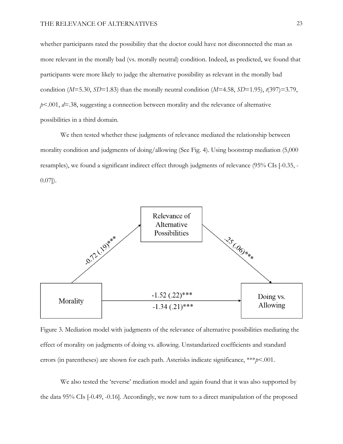whether participants rated the possibility that the doctor could have not disconnected the man as more relevant in the morally bad (vs. morally neutral) condition. Indeed, as predicted, we found that participants were more likely to judge the alternative possibility as relevant in the morally bad condition ( $M=5.30$ ,  $SD=1.83$ ) than the morally neutral condition ( $M=4.58$ ,  $SD=1.95$ ),  $t(397)=3.79$ , *p*<.001, *d*=.38, suggesting a connection between morality and the relevance of alternative possibilities in a third domain.

We then tested whether these judgments of relevance mediated the relationship between morality condition and judgments of doing/allowing (See Fig. 4). Using bootstrap mediation (5,000 resamples), we found a significant indirect effect through judgments of relevance (95% CIs [-0.35, - 0.07]).



Figure 3. Mediation model with judgments of the relevance of alternative possibilities mediating the effect of morality on judgments of doing vs. allowing. Unstandarized coefficients and standard errors (in parentheses) are shown for each path. Asterisks indicate significance, \*\*\**p*<.001.

We also tested the 'reverse' mediation model and again found that it was also supported by the data 95% CIs [-0.49, -0.16]. Accordingly, we now turn to a direct manipulation of the proposed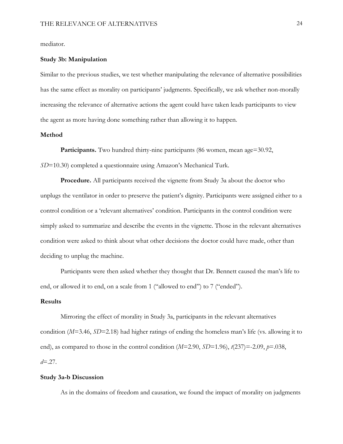mediator.

### **Study 3b: Manipulation**

Similar to the previous studies, we test whether manipulating the relevance of alternative possibilities has the same effect as morality on participants' judgments. Specifically, we ask whether non-morally increasing the relevance of alternative actions the agent could have taken leads participants to view the agent as more having done something rather than allowing it to happen.

### **Method**

**Participants.** Two hundred thirty-nine participants (86 women, mean age=30.92, *SD*=10.30) completed a questionnaire using Amazon's Mechanical Turk.

**Procedure.** All participants received the vignette from Study 3a about the doctor who unplugs the ventilator in order to preserve the patient's dignity. Participants were assigned either to a control condition or a 'relevant alternatives' condition. Participants in the control condition were simply asked to summarize and describe the events in the vignette. Those in the relevant alternatives condition were asked to think about what other decisions the doctor could have made, other than deciding to unplug the machine.

Participants were then asked whether they thought that Dr. Bennett caused the man's life to end, or allowed it to end, on a scale from 1 ("allowed to end") to 7 ("ended").

# **Results**

Mirroring the effect of morality in Study 3a, participants in the relevant alternatives condition (*M*=3.46, *SD*=2.18) had higher ratings of ending the homeless man's life (vs. allowing it to end), as compared to those in the control condition (*M*=2.90, *SD*=1.96), *t*(237)=-2.09, *p*=.038, *d*=.27.

#### **Study 3a-b Discussion**

As in the domains of freedom and causation, we found the impact of morality on judgments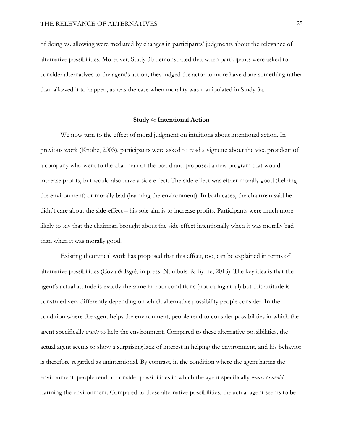of doing vs. allowing were mediated by changes in participants' judgments about the relevance of alternative possibilities. Moreover, Study 3b demonstrated that when participants were asked to consider alternatives to the agent's action, they judged the actor to more have done something rather than allowed it to happen, as was the case when morality was manipulated in Study 3a.

### **Study 4: Intentional Action**

We now turn to the effect of moral judgment on intuitions about intentional action. In previous work (Knobe, 2003), participants were asked to read a vignette about the vice president of a company who went to the chairman of the board and proposed a new program that would increase profits, but would also have a side effect. The side-effect was either morally good (helping the environment) or morally bad (harming the environment). In both cases, the chairman said he didn't care about the side-effect – his sole aim is to increase profits. Participants were much more likely to say that the chairman brought about the side-effect intentionally when it was morally bad than when it was morally good.

Existing theoretical work has proposed that this effect, too, can be explained in terms of alternative possibilities (Cova & Egré, in press; Nduibuisi & Byrne, 2013). The key idea is that the agent's actual attitude is exactly the same in both conditions (not caring at all) but this attitude is construed very differently depending on which alternative possibility people consider. In the condition where the agent helps the environment, people tend to consider possibilities in which the agent specifically *wants* to help the environment. Compared to these alternative possibilities, the actual agent seems to show a surprising lack of interest in helping the environment, and his behavior is therefore regarded as unintentional. By contrast, in the condition where the agent harms the environment, people tend to consider possibilities in which the agent specifically *wants to avoid* harming the environment. Compared to these alternative possibilities, the actual agent seems to be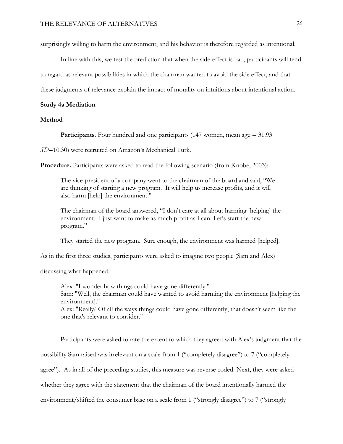surprisingly willing to harm the environment, and his behavior is therefore regarded as intentional.

In line with this, we test the prediction that when the side-effect is bad, participants will tend

to regard as relevant possibilities in which the chairman wanted to avoid the side effect, and that

these judgments of relevance explain the impact of morality on intuitions about intentional action.

# **Study 4a Mediation**

# **Method**

**Participants***.* Four hundred and one participants (147 women, mean age = 31.93

*SD*=10.30) were recruited on Amazon's Mechanical Turk.

**Procedure.** Participants were asked to read the following scenario (from Knobe, 2003):

The vice-president of a company went to the chairman of the board and said, "We are thinking of starting a new program. It will help us increase profits, and it will also harm [help] the environment."

The chairman of the board answered, "I don't care at all about harming [helping] the environment. I just want to make as much profit as I can. Let's start the new program."

They started the new program. Sure enough, the environment was harmed [helped].

As in the first three studies, participants were asked to imagine two people (Sam and Alex)

discussing what happened.

Alex: "I wonder how things could have gone differently." Sam: "Well, the chairman could have wanted to avoid harming the environment [helping the environment]." Alex: "Really? Of all the ways things could have gone differently, that doesn't seem like the one that's relevant to consider."

Participants were asked to rate the extent to which they agreed with Alex's judgment that the possibility Sam raised was irrelevant on a scale from 1 ("completely disagree") to 7 ("completely agree"). As in all of the preceding studies, this measure was reverse coded. Next, they were asked whether they agree with the statement that the chairman of the board intentionally harmed the environment/shifted the consumer base on a scale from 1 ("strongly disagree") to 7 ("strongly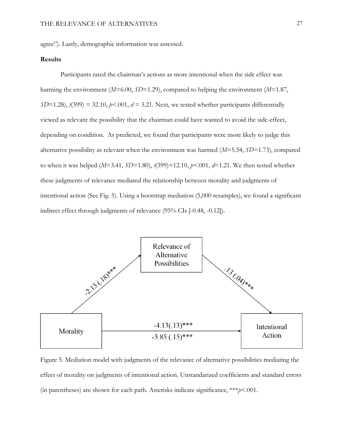agree"). Lastly, demographic information was assessed.

## **Results**

Participants rated the chairman's actions as more intentional when the side effect was harming the environment (*M*=6.00, *SD*=1.29), compared to helping the environment (*M*=1.87,  $SD=1.28$ ,  $t(399) = 32.10$ ,  $p<.001$ ,  $d = 3.21$ . Next, we tested whether participants differentially viewed as relevant the possibility that the chairman could have wanted to avoid the side-effect, depending on condition. As predicted, we found that participants were more likely to judge this alternative possibility as relevant when the environment was harmed (*M*=5.54, *SD*=1.73), compared to when it was helped (*M*=3.41, *SD*=1.80), *t*(399)=12.10, *p*<.001, *d*=1.21. We then tested whether these judgments of relevance mediated the relationship between morality and judgments of intentional action (See Fig. 5). Using a bootstrap mediation (5,000 resamples), we found a significant indirect effect through judgments of relevance (95% CIs [-0.48, -0.12]).



Figure 5. Mediation model with judgments of the relevance of alternative possibilities mediating the effect of morality on judgments of intentional action. Unstandarized coefficients and standard errors (in parentheses) are shown for each path. Asterisks indicate significance, \*\*\**p*<.001.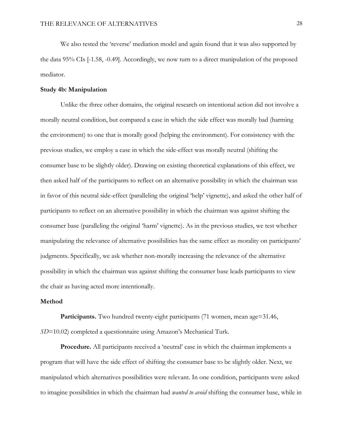We also tested the 'reverse' mediation model and again found that it was also supported by the data 95% CIs [-1.58, -0.49]. Accordingly, we now turn to a direct manipulation of the proposed mediator.

# **Study 4b: Manipulation**

Unlike the three other domains, the original research on intentional action did not involve a morally neutral condition, but compared a case in which the side effect was morally bad (harming the environment) to one that is morally good (helping the environment). For consistency with the previous studies, we employ a case in which the side-effect was morally neutral (shifting the consumer base to be slightly older). Drawing on existing theoretical explanations of this effect, we then asked half of the participants to reflect on an alternative possibility in which the chairman was in favor of this neutral side-effect (paralleling the original 'help' vignette), and asked the other half of participants to reflect on an alternative possibility in which the chairman was against shifting the consumer base (paralleling the original 'harm' vignette). As in the previous studies, we test whether manipulating the relevance of alternative possibilities has the same effect as morality on participants' judgments. Specifically, we ask whether non-morally increasing the relevance of the alternative possibility in which the chairman was against shifting the consumer base leads participants to view the chair as having acted more intentionally.

### **Method**

**Participants.** Two hundred twenty-eight participants (71 women, mean age=31.46, *SD*=10.02) completed a questionnaire using Amazon's Mechanical Turk.

**Procedure.** All participants received a 'neutral' case in which the chairman implements a program that will have the side effect of shifting the consumer base to be slightly older. Next, we manipulated which alternatives possibilities were relevant. In one condition, participants were asked to imagine possibilities in which the chairman had *wanted to avoid* shifting the consumer base, while in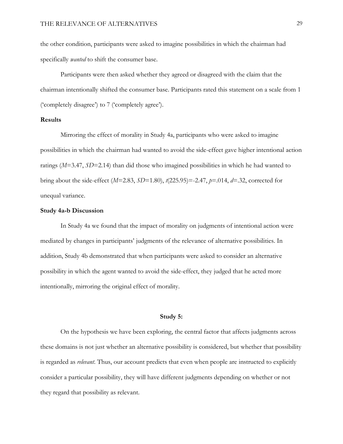the other condition, participants were asked to imagine possibilities in which the chairman had specifically *wanted* to shift the consumer base.

Participants were then asked whether they agreed or disagreed with the claim that the chairman intentionally shifted the consumer base. Participants rated this statement on a scale from 1 ('completely disagree') to 7 ('completely agree').

## **Results**

Mirroring the effect of morality in Study 4a, participants who were asked to imagine possibilities in which the chairman had wanted to avoid the side-effect gave higher intentional action ratings (*M*=3.47, *SD*=2.14) than did those who imagined possibilities in which he had wanted to bring about the side-effect (*M*=2.83, *SD*=1.80), *t*(225.95)=-2.47, *p*=.014, *d*=.32, corrected for unequal variance.

### **Study 4a-b Discussion**

In Study 4a we found that the impact of morality on judgments of intentional action were mediated by changes in participants' judgments of the relevance of alternative possibilities. In addition, Study 4b demonstrated that when participants were asked to consider an alternative possibility in which the agent wanted to avoid the side-effect, they judged that he acted more intentionally, mirroring the original effect of morality.

### **Study 5:**

On the hypothesis we have been exploring, the central factor that affects judgments across these domains is not just whether an alternative possibility is considered, but whether that possibility is regarded as *relevant*. Thus, our account predicts that even when people are instructed to explicitly consider a particular possibility, they will have different judgments depending on whether or not they regard that possibility as relevant.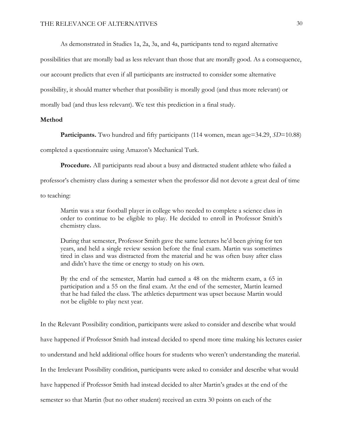As demonstrated in Studies 1a, 2a, 3a, and 4a, participants tend to regard alternative

possibilities that are morally bad as less relevant than those that are morally good. As a consequence, our account predicts that even if all participants are instructed to consider some alternative possibility, it should matter whether that possibility is morally good (and thus more relevant) or morally bad (and thus less relevant). We test this prediction in a final study.

## **Method**

**Participants.** Two hundred and fifty participants (114 women, mean age=34.29, *SD*=10.88)

completed a questionnaire using Amazon's Mechanical Turk.

**Procedure.** All participants read about a busy and distracted student athlete who failed a

professor's chemistry class during a semester when the professor did not devote a great deal of time

to teaching:

Martin was a star football player in college who needed to complete a science class in order to continue to be eligible to play. He decided to enroll in Professor Smith's chemistry class.

During that semester, Professor Smith gave the same lectures he'd been giving for ten years, and held a single review session before the final exam. Martin was sometimes tired in class and was distracted from the material and he was often busy after class and didn't have the time or energy to study on his own.

By the end of the semester, Martin had earned a 48 on the midterm exam, a 65 in participation and a 55 on the final exam. At the end of the semester, Martin learned that he had failed the class. The athletics department was upset because Martin would not be eligible to play next year.

In the Relevant Possibility condition, participants were asked to consider and describe what would have happened if Professor Smith had instead decided to spend more time making his lectures easier to understand and held additional office hours for students who weren't understanding the material. In the Irrelevant Possibility condition, participants were asked to consider and describe what would have happened if Professor Smith had instead decided to alter Martin's grades at the end of the semester so that Martin (but no other student) received an extra 30 points on each of the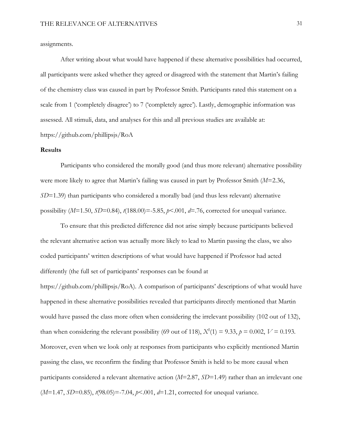assignments.

After writing about what would have happened if these alternative possibilities had occurred, all participants were asked whether they agreed or disagreed with the statement that Martin's failing of the chemistry class was caused in part by Professor Smith. Participants rated this statement on a scale from 1 ('completely disagree') to 7 ('completely agree'). Lastly, demographic information was assessed. All stimuli, data, and analyses for this and all previous studies are available at: https://github.com/phillipsjs/RoA

## **Results**

Participants who considered the morally good (and thus more relevant) alternative possibility were more likely to agree that Martin's failing was caused in part by Professor Smith (*M*=2.36, *SD*=1.39) than participants who considered a morally bad (and thus less relevant) alternative possibility (*M*=1.50, *SD*=0.84), *t*(188.00)=-5.85, *p*<.001, *d*=.76, corrected for unequal variance.

To ensure that this predicted difference did not arise simply because participants believed the relevant alternative action was actually more likely to lead to Martin passing the class, we also coded participants' written descriptions of what would have happened if Professor had acted differently (the full set of participants' responses can be found at

https://github.com/phillipsjs/RoA). A comparison of participants' descriptions of what would have happened in these alternative possibilities revealed that participants directly mentioned that Martin would have passed the class more often when considering the irrelevant possibility (102 out of 132), than when considering the relevant possibility (69 out of 118),  $X^2(1) = 9.33$ ,  $p = 0.002$ ,  $V = 0.193$ . Moreover, even when we look only at responses from participants who explicitly mentioned Martin passing the class, we reconfirm the finding that Professor Smith is held to be more causal when participants considered a relevant alternative action (*M*=2.87, *SD*=1.49) rather than an irrelevant one (*M*=1.47, *SD*=0.85), *t*(98.05)=-7.04, *p*<.001, *d*=1.21, corrected for unequal variance.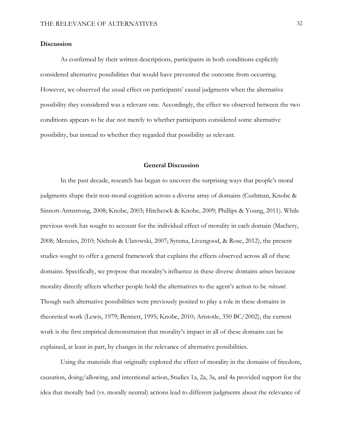### **Discussion**

As confirmed by their written descriptions, participants in both conditions explicitly considered alternative possibilities that would have prevented the outcome from occurring. However, we observed the usual effect on participants' causal judgments when the alternative possibility they considered was a relevant one. Accordingly, the effect we observed between the two conditions appears to be due not merely to whether participants considered some alternative possibility, but instead to whether they regarded that possibility as relevant.

## **General Discussion**

In the past decade, research has begun to uncover the surprising ways that people's moral judgments shape their non-moral cognition across a diverse array of domains (Cushman, Knobe & Sinnott-Armstrong, 2008; Knobe, 2003; Hitchcock & Knobe, 2009; Phillips & Young, 2011). While previous work has sought to account for the individual effect of morality in each domain (Machery, 2008; Menzies, 2010; Nichols & Ulatowski, 2007; Sytsma, Livengood, & Rose, 2012), the present studies sought to offer a general framework that explains the effects observed across all of these domains. Specifically, we propose that morality's influence in these diverse domains arises because morality directly affects whether people hold the alternatives to the agent's action to be *relevant*. Though such alternative possibilities were previously posited to play a role in these domains in theoretical work (Lewis, 1979; Bennett, 1995; Knobe, 2010; Aristotle, 350 BC/2002), the current work is the first empirical demonstration that morality's impact in all of these domains can be explained, at least in part, by changes in the relevance of alternative possibilities.

Using the materials that originally explored the effect of morality in the domains of freedom, causation, doing/allowing, and intentional action, Studies 1a, 2a, 3a, and 4a provided support for the idea that morally bad (vs. morally neutral) actions lead to different judgments about the relevance of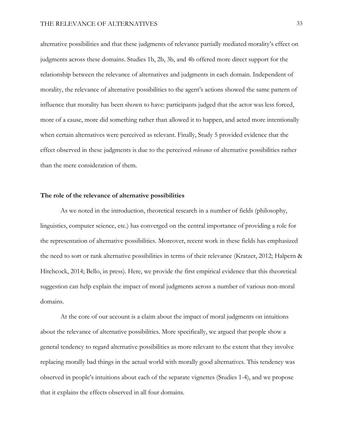alternative possibilities and that these judgments of relevance partially mediated morality's effect on judgments across these domains. Studies 1b, 2b, 3b, and 4b offered more direct support for the relationship between the relevance of alternatives and judgments in each domain. Independent of morality, the relevance of alternative possibilities to the agent's actions showed the same pattern of influence that morality has been shown to have: participants judged that the actor was less forced, more of a cause, more did something rather than allowed it to happen, and acted more intentionally when certain alternatives were perceived as relevant. Finally, Study 5 provided evidence that the effect observed in these judgments is due to the perceived *relevance* of alternative possibilities rather than the mere consideration of them.

### **The role of the relevance of alternative possibilities**

As we noted in the introduction, theoretical research in a number of fields (philosophy, linguistics, computer science, etc.) has converged on the central importance of providing a role for the representation of alternative possibilities. Moreover, recent work in these fields has emphasized the need to sort or rank alternative possibilities in terms of their relevance (Kratzer, 2012; Halpern & Hitchcock, 2014; Bello, in press). Here, we provide the first empirical evidence that this theoretical suggestion can help explain the impact of moral judgments across a number of various non-moral domains.

At the core of our account is a claim about the impact of moral judgments on intuitions about the relevance of alternative possibilities. More specifically, we argued that people show a general tendency to regard alternative possibilities as more relevant to the extent that they involve replacing morally bad things in the actual world with morally good alternatives. This tendency was observed in people's intuitions about each of the separate vignettes (Studies 1-4), and we propose that it explains the effects observed in all four domains.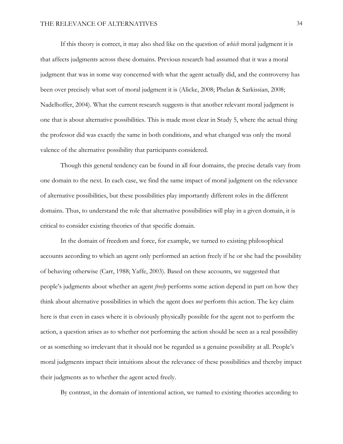If this theory is correct, it may also shed like on the question of *which* moral judgment it is that affects judgments across these domains. Previous research had assumed that it was a moral judgment that was in some way concerned with what the agent actually did, and the controversy has been over precisely what sort of moral judgment it is (Alicke, 2008; Phelan & Sarkissian, 2008; Nadelhoffer, 2004). What the current research suggests is that another relevant moral judgment is one that is about alternative possibilities. This is made most clear in Study 5, where the actual thing the professor did was exactly the same in both conditions, and what changed was only the moral valence of the alternative possibility that participants considered.

Though this general tendency can be found in all four domains, the precise details vary from one domain to the next. In each case, we find the same impact of moral judgment on the relevance of alternative possibilities, but these possibilities play importantly different roles in the different domains. Thus, to understand the role that alternative possibilities will play in a given domain, it is critical to consider existing theories of that specific domain.

In the domain of freedom and force, for example, we turned to existing philosophical accounts according to which an agent only performed an action freely if he or she had the possibility of behaving otherwise (Carr, 1988; Yaffe, 2003). Based on these accounts, we suggested that people's judgments about whether an agent *freely* performs some action depend in part on how they think about alternative possibilities in which the agent does *not* perform this action. The key claim here is that even in cases where it is obviously physically possible for the agent not to perform the action, a question arises as to whether not performing the action should be seen as a real possibility or as something so irrelevant that it should not be regarded as a genuine possibility at all. People's moral judgments impact their intuitions about the relevance of these possibilities and thereby impact their judgments as to whether the agent acted freely.

By contrast, in the domain of intentional action, we turned to existing theories according to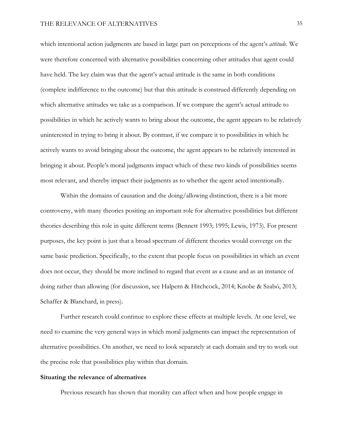which intentional action judgments are based in large part on perceptions of the agent's *attitude*. We were therefore concerned with alternative possibilities concerning other attitudes that agent could have held. The key claim was that the agent's actual attitude is the same in both conditions (complete indifference to the outcome) but that this attitude is construed differently depending on which alternative attitudes we take as a comparison. If we compare the agent's actual attitude to possibilities in which he actively wants to bring about the outcome, the agent appears to be relatively uninterested in trying to bring it about. By contrast, if we compare it to possibilities in which he actively wants to avoid bringing about the outcome, the agent appears to be relatively interested in bringing it about. People's moral judgments impact which of these two kinds of possibilities seems most relevant, and thereby impact their judgments as to whether the agent acted intentionally.

Within the domains of causation and the doing/allowing distinction, there is a bit more controversy, with many theories positing an important role for alternative possibilities but different theories describing this role in quite different terms (Bennett 1993; 1995; Lewis, 1973). For present purposes, the key point is just that a broad spectrum of different theories would converge on the same basic prediction. Specifically, to the extent that people focus on possibilities in which an event does not occur, they should be more inclined to regard that event as a cause and as an instance of doing rather than allowing (for discussion, see Halpern & Hitchcock, 2014; Knobe & Szabó, 2013; Schaffer & Blanchard, in press).

Further research could continue to explore these effects at multiple levels. At one level, we need to examine the very general ways in which moral judgments can impact the representation of alternative possibilities. On another, we need to look separately at each domain and try to work out the precise role that possibilities play within that domain.

#### **Situating the relevance of alternatives**

Previous research has shown that morality can affect when and how people engage in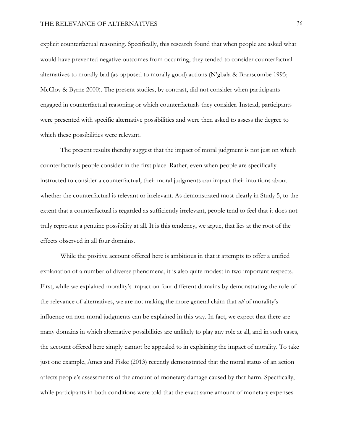explicit counterfactual reasoning. Specifically, this research found that when people are asked what would have prevented negative outcomes from occurring, they tended to consider counterfactual alternatives to morally bad (as opposed to morally good) actions (N'gbala & Branscombe 1995; McCloy & Byrne 2000). The present studies, by contrast, did not consider when participants engaged in counterfactual reasoning or which counterfactuals they consider. Instead, participants were presented with specific alternative possibilities and were then asked to assess the degree to which these possibilities were relevant.

The present results thereby suggest that the impact of moral judgment is not just on which counterfactuals people consider in the first place. Rather, even when people are specifically instructed to consider a counterfactual, their moral judgments can impact their intuitions about whether the counterfactual is relevant or irrelevant. As demonstrated most clearly in Study 5, to the extent that a counterfactual is regarded as sufficiently irrelevant, people tend to feel that it does not truly represent a genuine possibility at all. It is this tendency, we argue, that lies at the root of the effects observed in all four domains.

While the positive account offered here is ambitious in that it attempts to offer a unified explanation of a number of diverse phenomena, it is also quite modest in two important respects. First, while we explained morality's impact on four different domains by demonstrating the role of the relevance of alternatives, we are not making the more general claim that *all* of morality's influence on non-moral judgments can be explained in this way. In fact, we expect that there are many domains in which alternative possibilities are unlikely to play any role at all, and in such cases, the account offered here simply cannot be appealed to in explaining the impact of morality. To take just one example, Ames and Fiske (2013) recently demonstrated that the moral status of an action affects people's assessments of the amount of monetary damage caused by that harm. Specifically, while participants in both conditions were told that the exact same amount of monetary expenses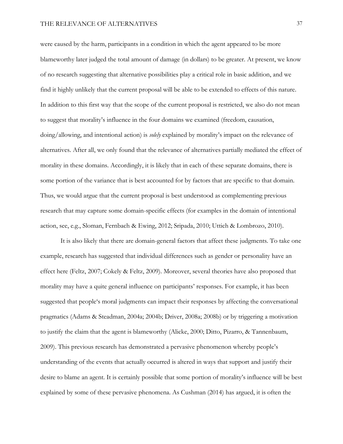## THE RELEVANCE OF ALTERNATIVES 37

were caused by the harm, participants in a condition in which the agent appeared to be more blameworthy later judged the total amount of damage (in dollars) to be greater. At present, we know of no research suggesting that alternative possibilities play a critical role in basic addition, and we find it highly unlikely that the current proposal will be able to be extended to effects of this nature. In addition to this first way that the scope of the current proposal is restricted, we also do not mean to suggest that morality's influence in the four domains we examined (freedom, causation, doing/allowing, and intentional action) is *solely* explained by morality's impact on the relevance of alternatives. After all, we only found that the relevance of alternatives partially mediated the effect of morality in these domains. Accordingly, it is likely that in each of these separate domains, there is some portion of the variance that is best accounted for by factors that are specific to that domain. Thus, we would argue that the current proposal is best understood as complementing previous research that may capture some domain-specific effects (for examples in the domain of intentional action, see, e.g., Sloman, Fernbach & Ewing, 2012; Sripada, 2010; Uttich & Lombrozo, 2010).

It is also likely that there are domain-general factors that affect these judgments. To take one example, research has suggested that individual differences such as gender or personality have an effect here (Feltz, 2007; Cokely & Feltz, 2009). Moreover, several theories have also proposed that morality may have a quite general influence on participants' responses. For example, it has been suggested that people's moral judgments can impact their responses by affecting the conversational pragmatics (Adams & Steadman, 2004a; 2004b; Driver, 2008a; 2008b) or by triggering a motivation to justify the claim that the agent is blameworthy (Alicke, 2000; Ditto, Pizarro, & Tannenbaum, 2009). This previous research has demonstrated a pervasive phenomenon whereby people's understanding of the events that actually occurred is altered in ways that support and justify their desire to blame an agent. It is certainly possible that some portion of morality's influence will be best explained by some of these pervasive phenomena. As Cushman (2014) has argued, it is often the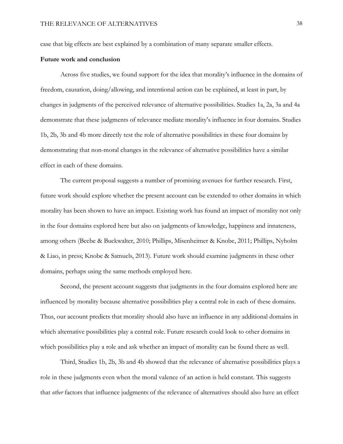case that big effects are best explained by a combination of many separate smaller effects.

#### **Future work and conclusion**

Across five studies, we found support for the idea that morality's influence in the domains of freedom, causation, doing/allowing, and intentional action can be explained, at least in part, by changes in judgments of the perceived relevance of alternative possibilities. Studies 1a, 2a, 3a and 4a demonstrate that these judgments of relevance mediate morality's influence in four domains. Studies 1b, 2b, 3b and 4b more directly test the role of alternative possibilities in these four domains by demonstrating that non-moral changes in the relevance of alternative possibilities have a similar effect in each of these domains.

The current proposal suggests a number of promising avenues for further research. First, future work should explore whether the present account can be extended to other domains in which morality has been shown to have an impact. Existing work has found an impact of morality not only in the four domains explored here but also on judgments of knowledge, happiness and innateness, among others (Beebe & Buckwalter, 2010; Phillips, Misenheimer & Knobe, 2011; Phillips, Nyholm & Liao, in press; Knobe & Samuels, 2013). Future work should examine judgments in these other domains, perhaps using the same methods employed here.

Second, the present account suggests that judgments in the four domains explored here are influenced by morality because alternative possibilities play a central role in each of these domains. Thus, our account predicts that morality should also have an influence in any additional domains in which alternative possibilities play a central role. Future research could look to other domains in which possibilities play a role and ask whether an impact of morality can be found there as well.

Third, Studies 1b, 2b, 3b and 4b showed that the relevance of alternative possibilities plays a role in these judgments even when the moral valence of an action is held constant. This suggests that *other* factors that influence judgments of the relevance of alternatives should also have an effect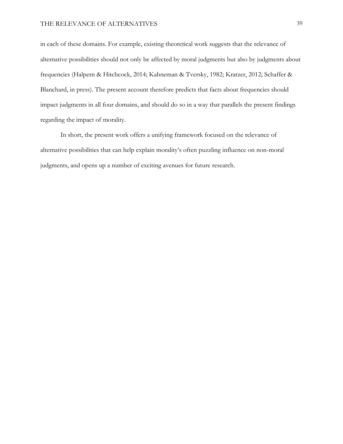in each of these domains. For example, existing theoretical work suggests that the relevance of alternative possibilities should not only be affected by moral judgments but also by judgments about frequencies (Halpern & Hitchcock, 2014; Kahneman & Tversky, 1982; Kratzer, 2012; Schaffer & Blanchard, in press). The present account therefore predicts that facts about frequencies should impact judgments in all four domains, and should do so in a way that parallels the present findings regarding the impact of morality.

In short, the present work offers a unifying framework focused on the relevance of alternative possibilities that can help explain morality's often puzzling influence on non-moral judgments, and opens up a number of exciting avenues for future research.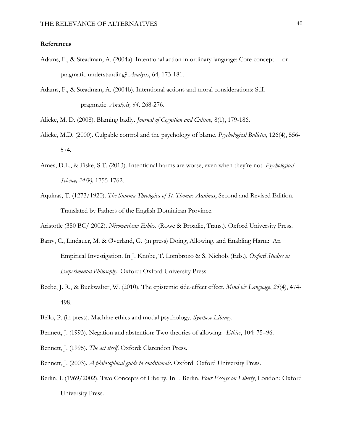## **References**

- Adams, F., & Steadman, A. (2004a). Intentional action in ordinary language: Core concept or pragmatic understanding? *Analysis*, 64*,* 173-181.
- Adams, F., & Steadman, A. (2004b). Intentional actions and moral considerations: Still pragmatic. *Analysis, 64,* 268-276.

Alicke, M. D. (2008). Blaming badly. *Journal of Cognition and Culture*, 8(1), 179-186.

- Alicke, M.D. (2000). Culpable control and the psychology of blame. *Psychological Bulletin*, 126(4), 556- 574.
- Ames, D.L., & Fiske, S.T. (2013). Intentional harms are worse, even when they're not. *Psychological Science, 24(9),* 1755-1762.
- Aquinas, T. (1273/1920). *The Summa Theologica of St. Thomas Aquinas*, Second and Revised Edition. Translated by Fathers of the English Dominican Province.

Aristotle (350 BC/ 2002). *Nicomachean Ethics*. (Rowe & Broadie, Trans.). Oxford University Press.

- Barry, C., Lindauer, M. & Øverland, G. (in press) Doing, Allowing, and Enabling Harm: An Empirical Investigation. In J. Knobe, T. Lombrozo & S. Nichols (Eds.), *Oxford Studies in Experimental Philosophy*. Oxford: Oxford University Press.
- Beebe, J. R., & Buckwalter, W. (2010). The epistemic side-effect effect. *Mind & Language*, 25(4), 474-498.
- Bello, P. (in press). Machine ethics and modal psychology. *Synthese Library*.
- Bennett, J. (1993). Negation and abstention: Two theories of allowing. *Ethics*, 104: 75–96.
- Bennett, J. (1995). *The act itself*. Oxford: Clarendon Press.
- Bennett, J. (2003). *A philosophical guide to conditionals*. Oxford: Oxford University Press.
- Berlin, I. (1969/2002). Two Concepts of Liberty. In I. Berlin, *Four Essays on Liberty*, London: Oxford University Press.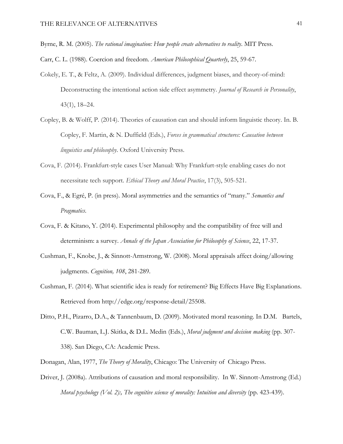Byrne, R. M. (2005). *The rational imagination: How people create alternatives to reality*. MIT Press.

Carr, C. L. (1988). Coercion and freedom. *American Philosophical Quarterly*, 25, 59-67.

- Cokely, E. T., & Feltz, A. (2009). Individual differences, judgment biases, and theory-of-mind: Deconstructing the intentional action side effect asymmetry. *Journal of Research in Personality*, 43(1), 18–24.
- Copley, B. & Wolff, P. (2014). Theories of causation can and should inform linguistic theory. In. B. Copley, F. Martin, & N. Duffield (Eds.), *Forces in grammatical structures: Causation between linguistics and philosophy*. Oxford University Press.
- Cova, F. (2014). Frankfurt-style cases User Manual: Why Frankfurt-style enabling cases do not necessitate tech support. *Ethical Theory and Moral Practice*, 17(3), 505-521.
- Cova, F., & Egré, P. (in press). Moral asymmetries and the semantics of "many." *Semantics and Pragmatics*.
- Cova, F. & Kitano, Y. (2014). Experimental philosophy and the compatibility of free will and determinism: a survey. *Annals of the Japan Association for Philosophy of Science*, 22, 17-37.
- Cushman, F., Knobe, J., & Sinnott-Armstrong, W. (2008). Moral appraisals affect doing/allowing judgments. *Cognition, 108*, 281-289.
- Cushman, F. (2014). What scientific idea is ready for retirement? Big Effects Have Big Explanations. Retrieved from http://edge.org/response-detail/25508.
- Ditto, P.H., Pizarro, D.A., & Tannenbaum, D. (2009). Motivated moral reasoning. In D.M. Bartels, C.W. Bauman, L.J. Skitka, & D.L. Medin (Eds.), *Moral judgment and decision making* (pp. 307- 338). San Diego, CA: Academic Press.
- Donagan, Alan, 1977, *The Theory of Morality*, Chicago: The University of Chicago Press.
- Driver, J. (2008a). Attributions of causation and moral responsibility. In W. Sinnott-Amstrong (Ed.) *Moral psychology (Vol. 2):, The cognitive science of morality: Intuition and diversity* (pp. 423-439).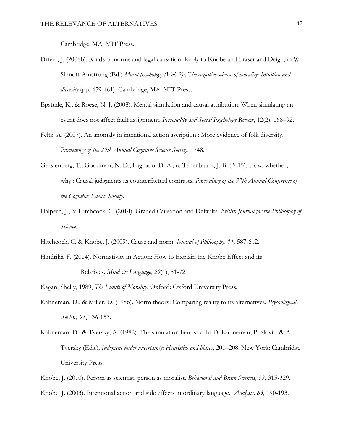Cambridge, MA: MIT Press.

- Driver, J. (2008b). Kinds of norms and legal causation: Reply to Knobe and Fraser and Deigh, in W. Sinnott-Amstrong (Ed.) *Moral psychology (Vol. 2):, The cognitive science of morality: Intuition and diversity* (pp. 459-461). Cambridge, MA: MIT Press.
- Epstude, K., & Roese, N. J. (2008). Mental simulation and causal attribution: When simulating an event does not affect fault assignment. *Personality and Social Psychology Review*, 12(2), 168–92.
- Feltz, A. (2007). An anomaly in intentional action ascription : More evidence of folk diversity*. Proceedings of the 29th Annual Cognitive Science Society*, 1748.
- Gerstenberg, T., Goodman, N. D., Lagnado, D. A., & Tenenbaum, J. B. (2015). How, whether, why : Causal judgments as counterfactual contrasts. *Proceedings of the 37th Annual Conference of the Cognitive Science Society*.
- Halpern, J., & Hitchcock, C. (2014). Graded Causation and Defaults. *British Journal for the Philosophy of Science*.
- Hitchcock, C. & Knobe, J. (2009). Cause and norm. *Journal of Philosophy, 11,* 587-612.
- Hindriks, F. (2014). Normativity in Action: How to Explain the Knobe Effect and its Relatives. *Mind & Language*, *29*(1), 51-72.
- Kagan, Shelly, 1989, *The Limits of Morality*, Oxford: Oxford University Press.
- Kahneman, D., & Miller, D. (1986). Norm theory: Comparing reality to its alternatives. *Psychological Review, 93*, 136-153.
- Kahneman, D., & Tversky, A. (1982). The simulation heuristic. In D. Kahneman, P. Slovic, & A. Tversky (Eds.), *Judgment under uncertainty: Heuristics and biases*, 201–208. New York: Cambridge University Press.
- Knobe, J. (2010). Person as scientist, person as moralist. *Behavioral and Brain Sciences, 33,* 315-329.
- Knobe, J. (2003). Intentional action and side effects in ordinary language. *Analysis, 63,* 190-193.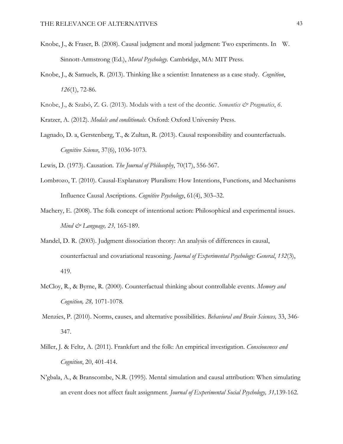- Knobe, J., & Fraser, B. (2008). Causal judgment and moral judgment: Two experiments. In W. Sinnott-Armstrong (Ed.), *Moral Psychology.* Cambridge, MA: MIT Press.
- Knobe, J., & Samuels, R. (2013). Thinking like a scientist: Innateness as a case study. *Cognition*, *126*(1), 72-86.
- Knobe, J., & Szabó, Z. G. (2013). Modals with a test of the deontic. *Semantics & Pragmatics*, *6*.

Kratzer, A. (2012). *Modals and conditionals.* Oxford: Oxford University Press.

- Lagnado, D. a, Gerstenberg, T., & Zultan, R. (2013). Causal responsibility and counterfactuals. *Cognitive Science*, 37(6), 1036-1073.
- Lewis, D. (1973). Causation. *The Journal of Philosophy*, 70(17), 556-567.
- Lombrozo, T. (2010). Causal-Explanatory Pluralism: How Intentions, Functions, and Mechanisms Influence Causal Ascriptions. *Cognitive Psychology*, 61(4), 303–32.
- Machery, E. (2008). The folk concept of intentional action: Philosophical and experimental issues. *Mind & Language, 23,* 165-189.
- Mandel, D. R. (2003). Judgment dissociation theory: An analysis of differences in causal, counterfactual and covariational reasoning. *Journal of Experimental Psychology: General*, *132*(3), 419.
- McCloy, R., & Byrne, R. (2000). Counterfactual thinking about controllable events. *Memory and Cognition, 28,* 1071-1078.
- Menzies, P. (2010). Norms, causes, and alternative possibilities. *Behavioral and Brain Sciences,* 33, 346- 347.
- Miller, J. & Feltz, A. (2011). Frankfurt and the folk: An empirical investigation. *Consciousness and Cognition*, 20, 401-414.
- N'gbala, A., & Branscombe, N.R. (1995). Mental simulation and causal attribution: When simulating an event does not affect fault assignment. *Journal of Experimental Social Psychology, 31,*139-162.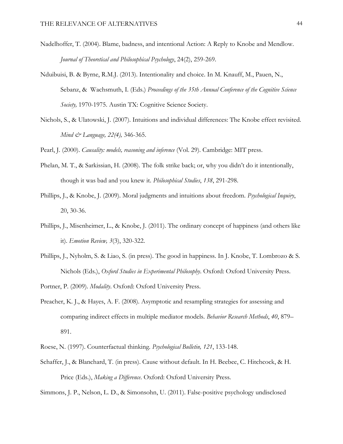- Nadelhoffer, T. (2004). Blame, badness, and intentional Action: A Reply to Knobe and Mendlow. *Journal of Theoretical and Philosophical Psychology*, 24(2), 259-269.
- Nduibuisi, B. & Byrne, R.M.J. (2013). Intentionality and choice. In M. Knauff, M., Pauen, N., Sebanz, & Wachsmuth, I. (Eds.) *Proceedings of the 35th Annual Conference of the Cognitive Science Society,* 1970-1975. Austin TX: Cognitive Science Society.
- Nichols, S., & Ulatowski, J. (2007). Intuitions and individual differences: The Knobe effect revisited. *Mind & Language, 22(4),* 346-365.

Pearl, J. (2000). *Causality: models, reasoning and inference* (Vol. 29). Cambridge: MIT press.

- Phelan, M. T., & Sarkissian, H. (2008). The folk strike back; or, why you didn't do it intentionally, though it was bad and you knew it. *Philosophical Studies*, *138*, 291-298.
- Phillips, J., & Knobe, J. (2009). Moral judgments and intuitions about freedom. *Psychological Inquiry*, 20, 30-36.
- Phillips, J., Misenheimer, L., & Knobe, J. (2011). The ordinary concept of happiness (and others like it). *Emotion Review, 3*(3), 320-322.
- Phillips, J., Nyholm, S. & Liao, S. (in press). The good in happiness. In J. Knobe, T. Lombrozo & S. Nichols (Eds.), *Oxford Studies in Experimental Philosophy*. Oxford: Oxford University Press.

Portner, P. (2009). *Modality*. Oxford: Oxford University Press.

- Preacher, K. J., & Hayes, A. F. (2008). Asymptotic and resampling strategies for assessing and comparing indirect effects in multiple mediator models. *Behavior Research Methods*, *40*, 879– 891.
- Roese, N. (1997). Counterfactual thinking. *Psychological Bulletin, 121*, 133-148.
- Schaffer, J., & Blanchard, T. (in press). Cause without default. In H. Beebee, C. Hitchcock, & H. Price (Eds.), *Making a Difference*. Oxford: Oxford University Press.

Simmons, J. P., Nelson, L. D., & Simonsohn, U. (2011). False-positive psychology undisclosed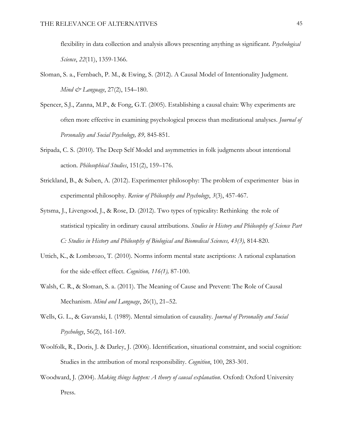flexibility in data collection and analysis allows presenting anything as significant. *Psychological Science*, *22*(11), 1359-1366.

- Sloman, S. a., Fernbach, P. M., & Ewing, S. (2012). A Causal Model of Intentionality Judgment. *Mind & Language*, 27(2), 154–180.
- Spencer, S.J., Zanna, M.P., & Fong, G.T. (2005). Establishing a causal chain: Why experiments are often more effective in examining psychological process than meditational analyses. *Journal of Personality and Social Psychology, 89,* 845-851.
- Sripada, C. S. (2010). The Deep Self Model and asymmetries in folk judgments about intentional action. *Philosophical Studies*, 151(2), 159–176.
- Strickland, B., & Suben, A. (2012). Experimenter philosophy: The problem of experimenter bias in experimental philosophy. *Review of Philosophy and Psychology*, *3*(3), 457-467.
- Sytsma, J., Livengood, J., & Rose, D. (2012). Two types of typicality: Rethinking the role of statistical typicality in ordinary causal attributions. *Studies in History and Philosophy of Science Part C: Studies in History and Philosophy of Biological and Biomedical Sciences, 43(3),* 814-820.
- Uttich, K., & Lombrozo, T. (2010). Norms inform mental state ascriptions: A rational explanation for the side-effect effect. *Cognition, 116(1),* 87-100.
- Walsh, C. R., & Sloman, S. a. (2011). The Meaning of Cause and Prevent: The Role of Causal Mechanism. *Mind and Language*, 26(1), 21–52.
- Wells, G. L., & Gavanski, I. (1989). Mental simulation of causality. *Journal of Personality and Social Psychology*, 56(2), 161-169.
- Woolfolk, R., Doris, J. & Darley, J. (2006). Identification, situational constraint, and social cognition: Studies in the attribution of moral responsibility. *Cognition*, 100, 283-301.
- Woodward, J. (2004). *Making things happen: A theory of causal explanation*. Oxford: Oxford University Press.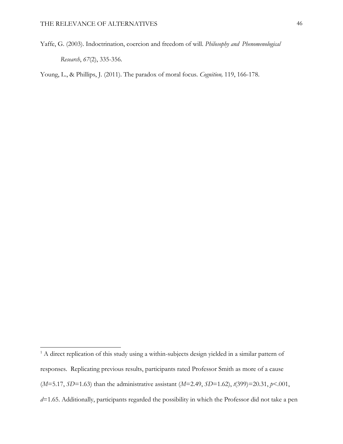$\overline{a}$ 

Yaffe, G. (2003). Indoctrination, coercion and freedom of will. *Philosophy and Phenomenological Research*, *67*(2), 335-356.

Young, L., & Phillips, J. (2011). The paradox of moral focus. *Cognition,* 119, 166-178.

<sup>&</sup>lt;sup>1</sup> A direct replication of this study using a within-subjects design yielded in a similar pattern of responses. Replicating previous results, participants rated Professor Smith as more of a cause (*M*=5.17, *SD*=1.63) than the administrative assistant (*M*=2.49, *SD*=1.62), *t*(399)=20.31, *p*<.001, *d*=1.65. Additionally, participants regarded the possibility in which the Professor did not take a pen